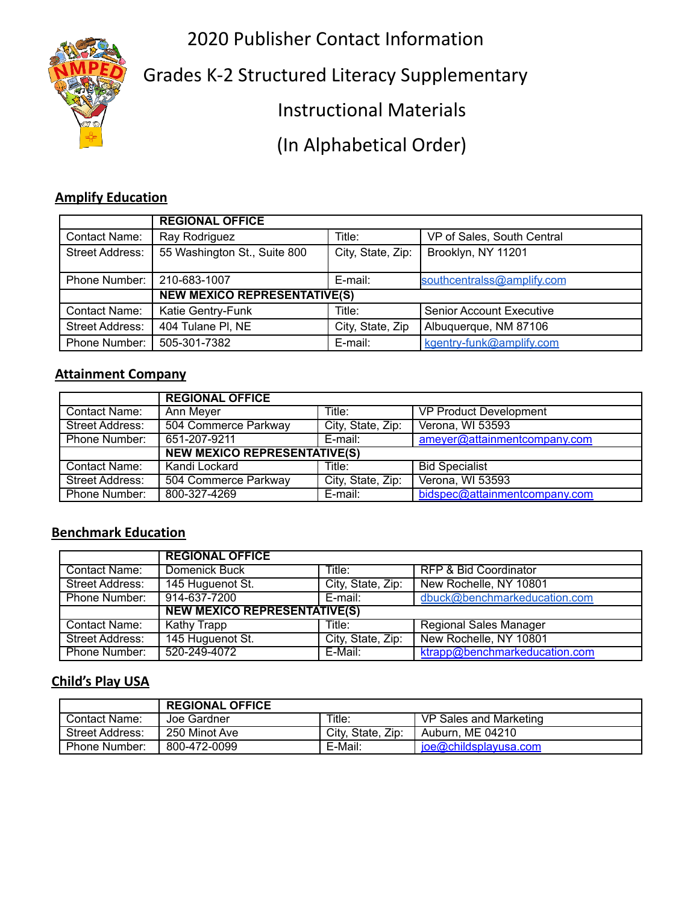2020 Publisher Contact Information



Grades K-2 Structured Literacy Supplementary

Instructional Materials

(In Alphabetical Order)

#### **Amplify Education**

|                        | <b>REGIONAL OFFICE</b>              |                   |                                 |  |
|------------------------|-------------------------------------|-------------------|---------------------------------|--|
| Contact Name:          | Ray Rodriguez                       | Title:            | VP of Sales, South Central      |  |
| <b>Street Address:</b> | 55 Washington St., Suite 800        | City, State, Zip: | Brooklyn, NY 11201              |  |
| Phone Number:          | 210-683-1007                        | E-mail:           | southcentralss@amplify.com      |  |
|                        | <b>NEW MEXICO REPRESENTATIVE(S)</b> |                   |                                 |  |
| <b>Contact Name:</b>   | Katie Gentry-Funk                   | Title:            | <b>Senior Account Executive</b> |  |
| <b>Street Address:</b> | 404 Tulane PI, NE                   | City, State, Zip  | Albuquerque, NM 87106           |  |
| Phone Number:          | 505-301-7382                        | E-mail:           | kgentry-funk@amplify.com        |  |

### **Attainment Company**

|                      | <b>REGIONAL OFFICE</b>              |                   |                               |
|----------------------|-------------------------------------|-------------------|-------------------------------|
| Contact Name:        | Ann Meyer                           | Title:            | <b>VP Product Development</b> |
| Street Address:      | 504 Commerce Parkway                | City, State, Zip: | Verona, WI 53593              |
| <b>Phone Number:</b> | 651-207-9211                        | E-mail:           | ameyer@attainmentcompany.com  |
|                      | <b>NEW MEXICO REPRESENTATIVE(S)</b> |                   |                               |
| <b>Contact Name:</b> | Kandi Lockard                       | Title:            | <b>Bid Specialist</b>         |
| Street Address:      | 504 Commerce Parkway                | City, State, Zip: | Verona, WI 53593              |
| Phone Number:        | 800-327-4269                        | E-mail:           | bidspec@attainmentcompany.com |

## **Benchmark Education**

|                        | <b>REGIONAL OFFICE</b>              |                   |                                  |
|------------------------|-------------------------------------|-------------------|----------------------------------|
| <b>Contact Name:</b>   | Domenick Buck                       | Title:            | <b>RFP &amp; Bid Coordinator</b> |
| Street Address:        | 145 Huguenot St.                    | City, State, Zip: | New Rochelle, NY 10801           |
| Phone Number:          | 914-637-7200                        | E-mail:           | dbuck@benchmarkeducation.com     |
|                        | <b>NEW MEXICO REPRESENTATIVE(S)</b> |                   |                                  |
| <b>Contact Name:</b>   | <b>Kathy Trapp</b>                  | Title:            | <b>Regional Sales Manager</b>    |
| <b>Street Address:</b> | 145 Huguenot St.                    | City, State, Zip: | New Rochelle, NY 10801           |
| Phone Number:          | 520-249-4072                        | E-Mail:           | ktrapp@benchmarkeducation.com    |

### **Child's Play USA**

|                        | <b>REGIONAL OFFICE</b> |                   |                        |
|------------------------|------------------------|-------------------|------------------------|
| Contact Name:          | Joe Gardner            | Title.            | VP Sales and Marketing |
| <b>Street Address:</b> | 250 Minot Ave          | City, State, Zip: | Auburn. ME 04210       |
| Phone Number:          | 800-472-0099           | E-Mail:           | joe@childsplayusa.com  |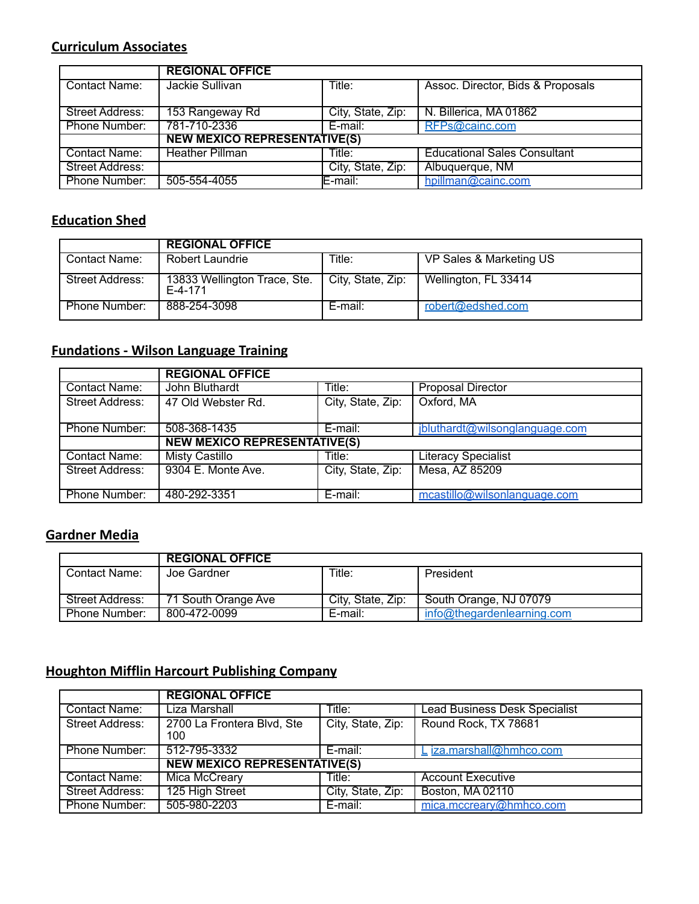## **Curriculum Associates**

|                 | <b>REGIONAL OFFICE</b>              |                   |                                     |  |
|-----------------|-------------------------------------|-------------------|-------------------------------------|--|
| Contact Name:   | Jackie Sullivan                     | Title:            | Assoc. Director, Bids & Proposals   |  |
| Street Address: | 153 Rangeway Rd                     | City, State, Zip: | N. Billerica, MA 01862              |  |
| Phone Number:   | 781-710-2336                        | E-mail:           | RFPs@cainc.com                      |  |
|                 | <b>NEW MEXICO REPRESENTATIVE(S)</b> |                   |                                     |  |
| Contact Name:   | <b>Heather Pillman</b>              | Title:            | <b>Educational Sales Consultant</b> |  |
| Street Address: |                                     | City, State, Zip: | Albuquerque, NM                     |  |
| Phone Number:   | 505-554-4055                        | E-mail:           | hpillman@cainc.com                  |  |

#### **Education Shed**

|                        | <b>REGIONAL OFFICE</b>                    |                   |                         |
|------------------------|-------------------------------------------|-------------------|-------------------------|
| Contact Name:          | Robert Laundrie                           | Title:            | VP Sales & Marketing US |
| <b>Street Address:</b> | 13833 Wellington Trace, Ste.<br>$F-4-171$ | City, State, Zip: | Wellington, FL 33414    |
| Phone Number:          | 888-254-3098                              | E-mail:           | robert@edshed.com       |

# **Fundations - Wilson Language Training**

|                        | <b>REGIONAL OFFICE</b>              |                   |                                |  |
|------------------------|-------------------------------------|-------------------|--------------------------------|--|
| Contact Name:          | John Bluthardt                      | Title:            | <b>Proposal Director</b>       |  |
| Street Address:        | 47 Old Webster Rd.                  | City, State, Zip: | Oxford, MA                     |  |
|                        |                                     |                   |                                |  |
| Phone Number:          | 508-368-1435                        | E-mail:           | jbluthardt@wilsonglanguage.com |  |
|                        | <b>NEW MEXICO REPRESENTATIVE(S)</b> |                   |                                |  |
| Contact Name:          | <b>Misty Castillo</b>               | Title:            | <b>Literacy Specialist</b>     |  |
| <b>Street Address:</b> | 9304 E. Monte Ave.                  | City, State, Zip: | Mesa, AZ 85209                 |  |
|                        |                                     |                   |                                |  |
| Phone Number:          | 480-292-3351                        | E-mail:           | mcastillo@wilsonlanguage.com   |  |

#### **Gardner Media**

|                        | <b>REGIONAL OFFICE</b> |                   |                            |
|------------------------|------------------------|-------------------|----------------------------|
| Contact Name:          | Joe Gardner            | Title:            | President                  |
| <b>Street Address:</b> | 71 South Orange Ave    | City, State, Zip: | South Orange, NJ 07079     |
| Phone Number:          | 800-472-0099           | E-mail:           | info@thegardenlearning.com |

# **Houghton Mifflin Harcourt Publishing Company**

|                        | <b>REGIONAL OFFICE</b>              |                   |                                      |
|------------------------|-------------------------------------|-------------------|--------------------------------------|
| Contact Name:          | Liza Marshall                       | Title:            | <b>Lead Business Desk Specialist</b> |
| <b>Street Address:</b> | 2700 La Frontera Blvd, Ste<br>100   | City, State, Zip: | Round Rock, TX 78681                 |
| Phone Number:          | 512-795-3332                        | E-mail:           | L iza.marshall@hmhco.com             |
|                        | <b>NEW MEXICO REPRESENTATIVE(S)</b> |                   |                                      |
| <b>Contact Name:</b>   | Mica McCreary                       | Title:            | <b>Account Executive</b>             |
| <b>Street Address:</b> | 125 High Street                     | City, State, Zip: | <b>Boston, MA 02110</b>              |
| Phone Number:          | 505-980-2203                        | E-mail:           | mica.mccreary@hmhco.com              |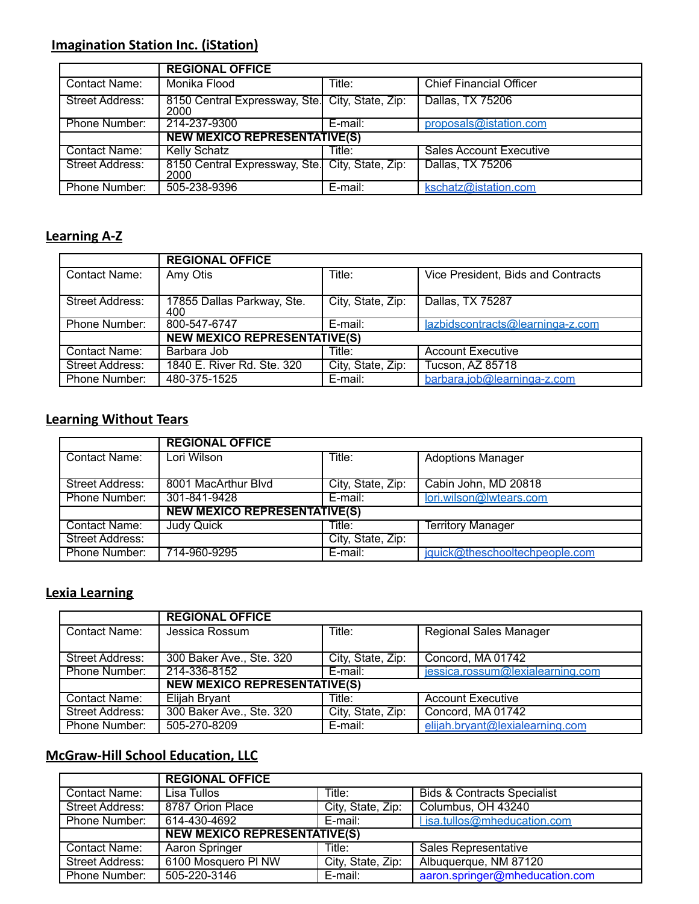# **Imagination Station Inc. (iStation)**

|                        | <b>REGIONAL OFFICE</b>                                  |            |                                |  |
|------------------------|---------------------------------------------------------|------------|--------------------------------|--|
| Contact Name:          | Monika Flood                                            | Title:     | <b>Chief Financial Officer</b> |  |
| <b>Street Address:</b> | 8150 Central Expressway, Ste. City, State, Zip:<br>2000 |            | Dallas, TX 75206               |  |
| Phone Number:          | 214-237-9300                                            | $E$ -mail: | proposals@istation.com         |  |
|                        | <b>NEW MEXICO REPRESENTATIVE(S)</b>                     |            |                                |  |
| <b>Contact Name:</b>   | <b>Kelly Schatz</b>                                     | Title:     | <b>Sales Account Executive</b> |  |
| Street Address:        | 8150 Central Expressway, Ste. City, State, Zip:<br>2000 |            | Dallas, TX 75206               |  |
| Phone Number:          | 505-238-9396                                            | E-mail:    | kschatz@istation.com           |  |

# **Learning A-Z**

|                        | <b>REGIONAL OFFICE</b>              |                   |                                    |  |
|------------------------|-------------------------------------|-------------------|------------------------------------|--|
| <b>Contact Name:</b>   | Amy Otis                            | Title:            | Vice President, Bids and Contracts |  |
| <b>Street Address:</b> | 17855 Dallas Parkway, Ste.<br>400   | City, State, Zip: | Dallas, TX 75287                   |  |
| Phone Number:          | 800-547-6747                        | E-mail:           | lazbidscontracts@learninga-z.com   |  |
|                        | <b>NEW MEXICO REPRESENTATIVE(S)</b> |                   |                                    |  |
| Contact Name:          | Barbara Job                         | Title:            | <b>Account Executive</b>           |  |
| <b>Street Address:</b> | 1840 E. River Rd. Ste. 320          | City, State, Zip: | Tucson, AZ 85718                   |  |
| Phone Number:          | 480-375-1525                        | E-mail:           | barbara.job@learninga-z.com        |  |

## **Learning Without Tears**

|                 | <b>REGIONAL OFFICE</b>              |                   |                                |  |
|-----------------|-------------------------------------|-------------------|--------------------------------|--|
| Contact Name:   | Lori Wilson                         | Title:            | <b>Adoptions Manager</b>       |  |
| Street Address: | 8001 MacArthur Blvd                 | City, State, Zip: | Cabin John, MD 20818           |  |
| Phone Number:   | 301-841-9428                        | E-mail:           | lori.wilson@lwtears.com        |  |
|                 | <b>NEW MEXICO REPRESENTATIVE(S)</b> |                   |                                |  |
| Contact Name:   | Judy Quick                          | Title:            | <b>Territory Manager</b>       |  |
| Street Address: |                                     | City, State, Zip: |                                |  |
| Phone Number:   | 714-960-9295                        | E-mail:           | jquick@theschooltechpeople.com |  |

# **Lexia Learning**

|                        | <b>REGIONAL OFFICE</b>              |                   |                                  |
|------------------------|-------------------------------------|-------------------|----------------------------------|
| Contact Name:          | Jessica Rossum                      | Title:            | <b>Regional Sales Manager</b>    |
| <b>Street Address:</b> | 300 Baker Ave., Ste. 320            | City, State, Zip: | Concord, MA 01742                |
| Phone Number:          | 214-336-8152                        | E-mail:           | jessica.rossum@lexialearning.com |
|                        | <b>NEW MEXICO REPRESENTATIVE(S)</b> |                   |                                  |
| Contact Name:          | <b>Elijah Bryant</b>                | Title:            | <b>Account Executive</b>         |
| <b>Street Address:</b> | 300 Baker Ave., Ste. 320            | City, State, Zip: | Concord, MA 01742                |
| Phone Number:          | 505-270-8209                        | E-mail:           | elijah.bryant@lexialearning.com  |

## **McGraw-Hill School Education, LLC**

|                        | <b>REGIONAL OFFICE</b>                                  |                   |                                        |  |
|------------------------|---------------------------------------------------------|-------------------|----------------------------------------|--|
| Contact Name:          | Lisa Tullos                                             | Title:            | <b>Bids &amp; Contracts Specialist</b> |  |
| <b>Street Address:</b> | 8787 Orion Place                                        | City, State, Zip: | Columbus, OH 43240                     |  |
| Phone Number:          | l isa.tullos@mheducation.com<br>614-430-4692<br>E-mail: |                   |                                        |  |
|                        | <b>NEW MEXICO REPRESENTATIVE(S)</b>                     |                   |                                        |  |
| Contact Name:          | Aaron Springer                                          | Title:            | Sales Representative                   |  |
| <b>Street Address:</b> | 6100 Mosquero PI NW                                     | City, State, Zip: | Albuquerque, NM 87120                  |  |
| Phone Number:          | 505-220-3146                                            | E-mail:           | aaron.springer@mheducation.com         |  |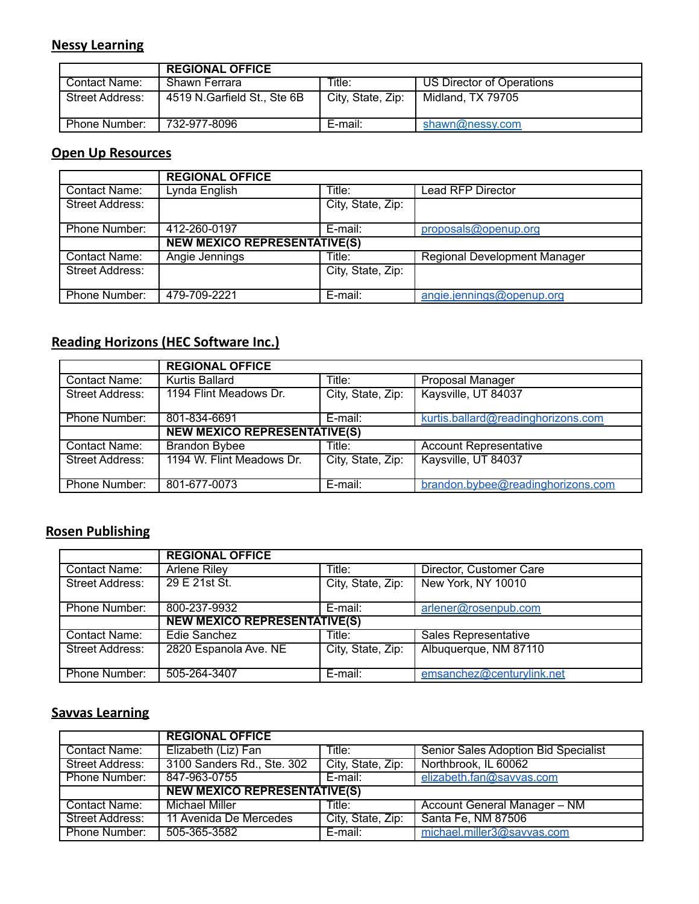#### **Nessy Learning**

|                 | <b>REGIONAL OFFICE</b>      |                   |                           |
|-----------------|-----------------------------|-------------------|---------------------------|
| Contact Name:   | Shawn Ferrara               | Title:            | US Director of Operations |
| Street Address: | 4519 N.Garfield St., Ste 6B | City, State, Zip: | Midland, TX 79705         |
| Phone Number:   | 732-977-8096                | E-mail:           | shawn@nessy.com           |

#### **Open Up Resources**

|                        | <b>REGIONAL OFFICE</b>              |                   |                                     |
|------------------------|-------------------------------------|-------------------|-------------------------------------|
| Contact Name:          | Lynda English                       | Title:            | <b>Lead RFP Director</b>            |
| Street Address:        |                                     | City, State, Zip: |                                     |
| Phone Number:          | 412-260-0197                        | E-mail:           | proposals@openup.org                |
|                        | <b>NEW MEXICO REPRESENTATIVE(S)</b> |                   |                                     |
| Contact Name:          | Angie Jennings                      | Title:            | <b>Regional Development Manager</b> |
| <b>Street Address:</b> |                                     | City, State, Zip: |                                     |
| Phone Number:          | 479-709-2221                        | E-mail:           | angie.jennings@openup.org           |

# **Reading Horizons (HEC Software Inc.)**

|                        | <b>REGIONAL OFFICE</b>              |                   |                                    |
|------------------------|-------------------------------------|-------------------|------------------------------------|
| Contact Name:          | Kurtis Ballard                      | Title:            | Proposal Manager                   |
| <b>Street Address:</b> | 1194 Flint Meadows Dr.              | City, State, Zip: | Kaysville, UT 84037                |
| Phone Number:          | 801-834-6691                        | E-mail:           | kurtis.ballard@readinghorizons.com |
|                        | <b>NEW MEXICO REPRESENTATIVE(S)</b> |                   |                                    |
| <b>Contact Name:</b>   | <b>Brandon Bybee</b>                | Title:            | <b>Account Representative</b>      |
| <b>Street Address:</b> | 1194 W. Flint Meadows Dr.           | City, State, Zip: | Kaysville, UT 84037                |
| Phone Number:          | 801-677-0073                        | E-mail:           | brandon.bybee@readinghorizons.com  |

# **Rosen Publishing**

|                      | <b>REGIONAL OFFICE</b>              |                   |                             |
|----------------------|-------------------------------------|-------------------|-----------------------------|
| Contact Name:        | <b>Arlene Riley</b>                 | Title:            | Director, Customer Care     |
| Street Address:      | 29 E 21st St.                       | City, State, Zip: | New York, NY 10010          |
| Phone Number:        | 800-237-9932                        | E-mail:           | arlener@rosenpub.com        |
|                      | <b>NEW MEXICO REPRESENTATIVE(S)</b> |                   |                             |
| <b>Contact Name:</b> | Edie Sanchez                        | Title:            | <b>Sales Representative</b> |
| Street Address:      | 2820 Espanola Ave. NE               | City, State, Zip: | Albuquerque, NM 87110       |
| Phone Number:        | 505-264-3407                        | E-mail:           | emsanchez@centurylink.net   |

# **Savvas Learning**

|                 | <b>REGIONAL OFFICE</b>              |                   |                                             |
|-----------------|-------------------------------------|-------------------|---------------------------------------------|
| Contact Name:   | Elizabeth (Liz) Fan                 | Title:            | <b>Senior Sales Adoption Bid Specialist</b> |
| Street Address: | 3100 Sanders Rd., Ste. 302          | City, State, Zip: | Northbrook, IL 60062                        |
| Phone Number:   | 847-963-0755                        | E-mail:           | elizabeth.fan@savvas.com                    |
|                 | <b>NEW MEXICO REPRESENTATIVE(S)</b> |                   |                                             |
| Contact Name:   | Michael Miller                      | Title:            | Account General Manager - NM                |
| Street Address: | 11 Avenida De Mercedes              | City, State, Zip: | Santa Fe, NM 87506                          |
| Phone Number:   | 505-365-3582                        | E-mail:           | michael.miller3@savvas.com                  |